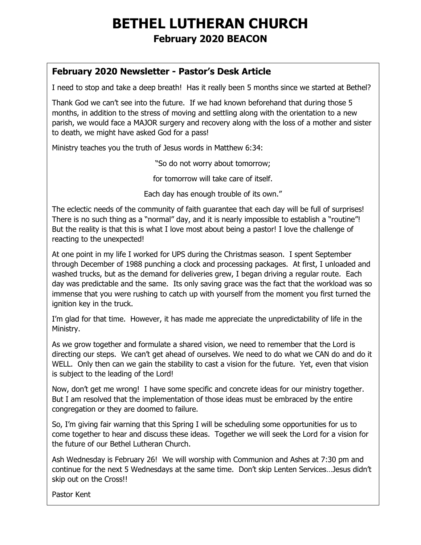# **BETHEL LUTHERAN CHURCH February 2020 BEACON**

### **February 2020 Newsletter - Pastor's Desk Article**

I need to stop and take a deep breath! Has it really been 5 months since we started at Bethel?

Thank God we can't see into the future. If we had known beforehand that during those 5 months, in addition to the stress of moving and settling along with the orientation to a new parish, we would face a MAJOR surgery and recovery along with the loss of a mother and sister to death, we might have asked God for a pass!

Ministry teaches you the truth of Jesus words in Matthew 6:34:

"So do not worry about tomorrow;

for tomorrow will take care of itself.

Each day has enough trouble of its own."

The eclectic needs of the community of faith guarantee that each day will be full of surprises! There is no such thing as a "normal" day, and it is nearly impossible to establish a "routine"! But the reality is that this is what I love most about being a pastor! I love the challenge of reacting to the unexpected!

At one point in my life I worked for UPS during the Christmas season. I spent September through December of 1988 punching a clock and processing packages. At first, I unloaded and washed trucks, but as the demand for deliveries grew, I began driving a regular route. Each day was predictable and the same. Its only saving grace was the fact that the workload was so immense that you were rushing to catch up with yourself from the moment you first turned the ignition key in the truck.

I'm glad for that time. However, it has made me appreciate the unpredictability of life in the Ministry.

As we grow together and formulate a shared vision, we need to remember that the Lord is directing our steps. We can't get ahead of ourselves. We need to do what we CAN do and do it WELL. Only then can we gain the stability to cast a vision for the future. Yet, even that vision is subject to the leading of the Lord!

Now, don't get me wrong! I have some specific and concrete ideas for our ministry together. But I am resolved that the implementation of those ideas must be embraced by the entire congregation or they are doomed to failure.

So, I'm giving fair warning that this Spring I will be scheduling some opportunities for us to come together to hear and discuss these ideas. Together we will seek the Lord for a vision for the future of our Bethel Lutheran Church.

Ash Wednesday is February 26! We will worship with Communion and Ashes at 7:30 pm and continue for the next 5 Wednesdays at the same time. Don't skip Lenten Services…Jesus didn't skip out on the Cross!!

Pastor Kent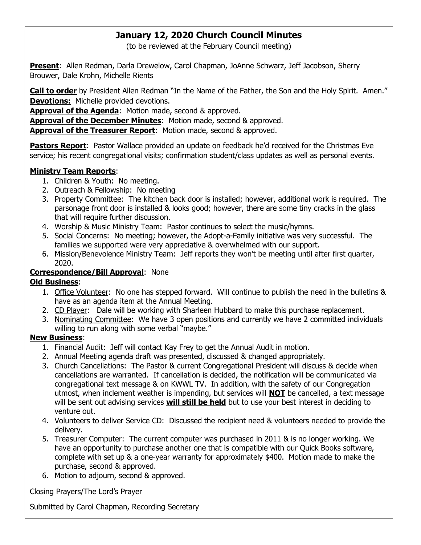### **January 12, 2020 Church Council Minutes**

(to be reviewed at the February Council meeting)

**Present**: Allen Redman, Darla Drewelow, Carol Chapman, JoAnne Schwarz, Jeff Jacobson, Sherry Brouwer, Dale Krohn, Michelle Rients

**Call to order** by President Allen Redman "In the Name of the Father, the Son and the Holy Spirit. Amen." **Devotions:** Michelle provided devotions.

**Approval of the Agenda**: Motion made, second & approved.

**Approval of the December Minutes**: Motion made, second & approved.

**Approval of the Treasurer Report**: Motion made, second & approved.

**Pastors Report**: Pastor Wallace provided an update on feedback he'd received for the Christmas Eve service; his recent congregational visits; confirmation student/class updates as well as personal events.

#### **Ministry Team Reports**:

- 1. Children & Youth: No meeting.
- 2. Outreach & Fellowship: No meeting
- 3. Property Committee: The kitchen back door is installed; however, additional work is required. The parsonage front door is installed & looks good; however, there are some tiny cracks in the glass that will require further discussion.
- 4. Worship & Music Ministry Team: Pastor continues to select the music/hymns.
- 5. Social Concerns: No meeting; however, the Adopt-a-Family initiative was very successful. The families we supported were very appreciative & overwhelmed with our support.
- 6. Mission/Benevolence Ministry Team: Jeff reports they won't be meeting until after first quarter, 2020.

#### **Correspondence/Bill Approval**: None

#### **Old Business**:

- 1. Office Volunteer: No one has stepped forward. Will continue to publish the need in the bulletins & have as an agenda item at the Annual Meeting.
- 2. CD Player: Dale will be working with Sharleen Hubbard to make this purchase replacement.
- 3. Nominating Committee: We have 3 open positions and currently we have 2 committed individuals willing to run along with some verbal "maybe."

#### **New Business**:

- 1. Financial Audit: Jeff will contact Kay Frey to get the Annual Audit in motion.
- 2. Annual Meeting agenda draft was presented, discussed & changed appropriately.
- 3. Church Cancellations: The Pastor & current Congregational President will discuss & decide when cancellations are warranted. If cancellation is decided, the notification will be communicated via congregational text message & on KWWL TV. In addition, with the safety of our Congregation utmost, when inclement weather is impending, but services will **NOT** be cancelled, a text message will be sent out advising services **will still be held** but to use your best interest in deciding to venture out.
- 4. Volunteers to deliver Service CD: Discussed the recipient need & volunteers needed to provide the delivery.
- 5. Treasurer Computer: The current computer was purchased in 2011 & is no longer working. We have an opportunity to purchase another one that is compatible with our Quick Books software, complete with set up & a one-year warranty for approximately \$400. Motion made to make the purchase, second & approved.
- 6. Motion to adjourn, second & approved.

Closing Prayers/The Lord's Prayer

Submitted by Carol Chapman, Recording Secretary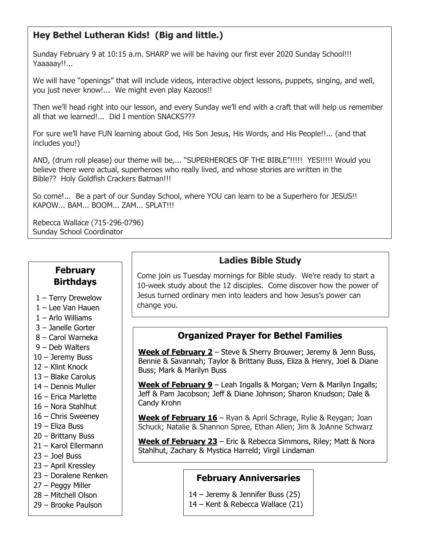### **Hey Bethel Lutheran Kids! (Big and little.)**

Sunday February 9 at 10:15 a.m. SHARP we will be having our first ever 2020 Sunday School!!! Yaaaaay!!...

We will have "openings" that will include videos, interactive object lessons, puppets, singing, and well, you just never know!... We might even play Kazoos!!

Then we'll head right into our lesson, and every Sunday we'll end with a craft that will help us remember all that we learned!... Did I mention SNACKS???

For sure we'll have FUN learning about God, His Son Jesus, His Words, and His People!!... (and that includes you!)

AND, (drum roll please) our theme will be,... "SUPERHEROES OF THE BIBLE"!!!!! YES!!!!! Would you believe there were actual, superheroes who really lived, and whose stories are written in the Bible?? Holy Goldfish Crackers Batman!!!

So come!... Be a part of our Sunday School, where YOU can learn to be a Superhero for JESUS!! KAPOW... BAM... BOOM... ZAM... SPLAT!!!

Rebecca Wallace (715-296-0796) Sunday School Coordinator

#### **February Birthdays**

- 1 Terry Drewelow
- 1 Lee Van Hauen
- 1 Arlo Williams
- 3 Janelle Gorter
- 8 Carol Warneka
- 9 Deb Walters
- 10 Jeremy Buss
- 12 Klint Knock
- 13 Blake Carolus
- 14 Dennis Muller
- 16 Erica Marlette
- 16 Nora Stahlhut
- 16 Chris Sweeney
- 19 Eliza Buss
- 20 Brittany Buss
- 21 Karol Ellermann
- 23 Joel Buss
- 23 April Kressley
- 23 Doralene Renken
- 27 Peggy Miller
- 28 Mitchell Olson
- 29 Brooke Paulson

### **Ladies Bible Study**

Come join us Tuesday mornings for Bible study. We're ready to start a 10-week study about the 12 disciples. Come discover how the power of Jesus turned ordinary men into leaders and how Jesus's power can change you.

### **Organized Prayer for Bethel Families**

**Week of February 2** – Steve & Sherry Brouwer; Jeremy & Jenn Buss, Bennie & Savannah; Taylor & Brittany Buss, Eliza & Henry, Joel & Diane Buss; Mark & Marilyn Buss

**Week of February 9** – Leah Ingalls & Morgan; Vern & Marilyn Ingalls; Jeff & Pam Jacobson; Jeff & Diane Johnson; Sharon Knudson; Dale & Candy Krohn

**Week of February 16** – Ryan & April Schrage, Rylie & Reygan; Joan Schuck; Natalie & Shannon Spree, Ethan Allen; Jim & JoAnne Schwarz

**Week of February 23** – Eric & Rebecca Simmons, Riley; Matt & Nora Stahlhut, Zachary & Mystica Harreld; Virgil Lindaman

#### **February Anniversaries**

- 14 Jeremy & Jennifer Buss (25)
- 14 Kent & Rebecca Wallace (21)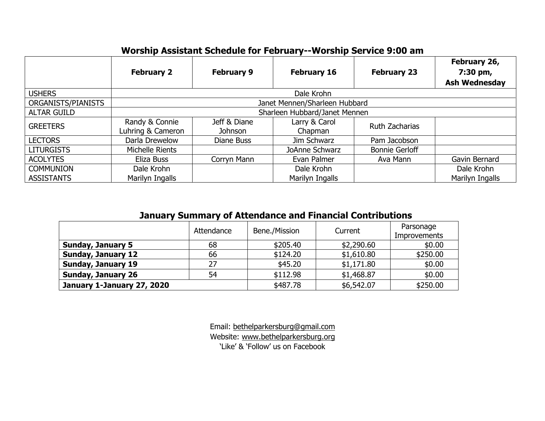| Worship Assistant Schedule for February--Worship Service 9:00 am |  |
|------------------------------------------------------------------|--|
|                                                                  |  |

|                    | <b>February 2</b>                   | <b>February 9</b>       | <b>February 16</b>       | <b>February 23</b>    | February 26,<br>7:30 pm,<br><b>Ash Wednesday</b> |
|--------------------|-------------------------------------|-------------------------|--------------------------|-----------------------|--------------------------------------------------|
| <b>USHERS</b>      | Dale Krohn                          |                         |                          |                       |                                                  |
| ORGANISTS/PIANISTS | Janet Mennen/Sharleen Hubbard       |                         |                          |                       |                                                  |
| <b>ALTAR GUILD</b> | Sharleen Hubbard/Janet Mennen       |                         |                          |                       |                                                  |
| <b>GREETERS</b>    | Randy & Connie<br>Luhring & Cameron | Jeff & Diane<br>Johnson | Larry & Carol<br>Chapman | Ruth Zacharias        |                                                  |
| <b>LECTORS</b>     | Darla Drewelow                      | Diane Buss              | Jim Schwarz              | Pam Jacobson          |                                                  |
| <b>LITURGISTS</b>  | Michelle Rients                     |                         | JoAnne Schwarz           | <b>Bonnie Gerloff</b> |                                                  |
| <b>ACOLYTES</b>    | Eliza Buss                          | Corryn Mann             | Evan Palmer              | Ava Mann              | Gavin Bernard                                    |
| <b>COMMUNION</b>   | Dale Krohn                          |                         | Dale Krohn               |                       | Dale Krohn                                       |
| <b>ASSISTANTS</b>  | Marilyn Ingalls                     |                         | Marilyn Ingalls          |                       | Marilyn Ingalls                                  |

## **January Summary of Attendance and Financial Contributions**

|                            | Attendance | Bene./Mission | Current    | Parsonage<br><b>Improvements</b> |  |
|----------------------------|------------|---------------|------------|----------------------------------|--|
| <b>Sunday, January 5</b>   | 68         | \$205.40      | \$2,290.60 | \$0.00                           |  |
| <b>Sunday, January 12</b>  | 66         | \$124.20      | \$1,610.80 | \$250.00                         |  |
| <b>Sunday, January 19</b>  | 27         | \$45.20       | \$1,171.80 | \$0.00                           |  |
| <b>Sunday, January 26</b>  | 54         | \$112.98      | \$1,468.87 | \$0.00                           |  |
| January 1-January 27, 2020 |            | \$487.78      | \$6,542.07 | \$250.00                         |  |

Email: [bethelparkersburg@gmail.com](mailto:bethelparkersburg@gmail.com)  Website: [www.bethelparkersburg.org](http://www.bethelparkersburg.org/) 'Like' & 'Follow' us on Facebook